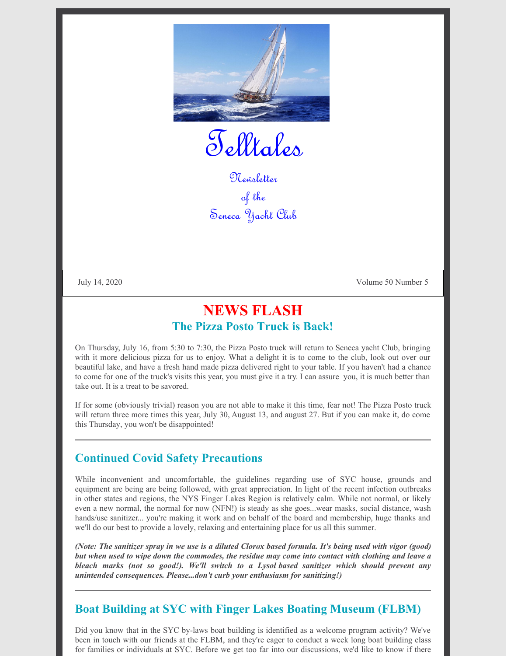

Telltales

Newsletter of the Seneca Yacht Club

July 14, 2020 Volume 50 Number 5

# **NEWS FLASH The Pizza Posto Truck is Back!**

On Thursday, July 16, from 5:30 to 7:30, the Pizza Posto truck will return to Seneca yacht Club, bringing with it more delicious pizza for us to enjoy. What a delight it is to come to the club, look out over our beautiful lake, and have a fresh hand made pizza delivered right to your table. If you haven't had a chance to come for one of the truck's visits this year, you must give it a try. I can assure you, it is much better than take out. It is a treat to be savored.

If for some (obviously trivial) reason you are not able to make it this time, fear not! The Pizza Posto truck will return three more times this year, July 30, August 13, and august 27. But if you can make it, do come this Thursday, you won't be disappointed!

## **Continued Covid Safety Precautions**

While inconvenient and uncomfortable, the guidelines regarding use of SYC house, grounds and equipment are being are being followed, with great appreciation. In light of the recent infection outbreaks in other states and regions, the NYS Finger Lakes Region is relatively calm. While not normal, or likely even a new normal, the normal for now (NFN!) is steady as she goes...wear masks, social distance, wash hands/use sanitizer... you're making it work and on behalf of the board and membership, huge thanks and we'll do our best to provide a lovely, relaxing and entertaining place for us all this summer.

(Note: The sanitizer spray in we use is a diluted Clorox based formula. It's being used with vigor (good) but when used to wipe down the commodes, the residue may come into contact with clothing and leave a *bleach marks (not so good!). We'll switch to a Lysol based sanitizer which should prevent any unintended consequences. Please...don't curb your enthusiasm for sanitizing!)*

## **Boat Building at SYC with Finger Lakes Boating Museum (FLBM)**

Did you know that in the SYC by-laws boat building is identified as a welcome program activity? We've been in touch with our friends at the FLBM, and they're eager to conduct a week long boat building class for families or individuals at SYC. Before we get too far into our discussions, we'd like to know if there